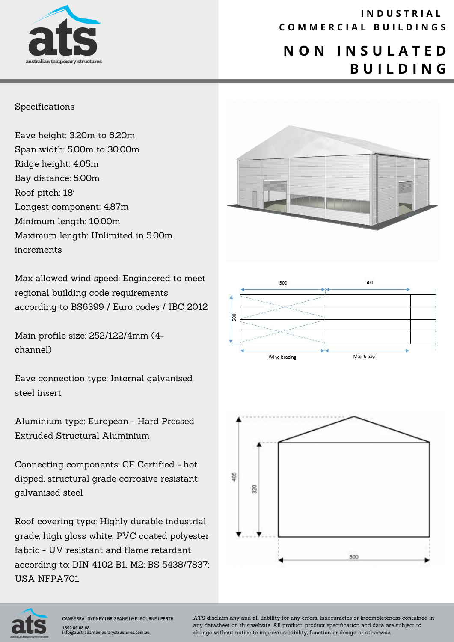

### **I N D U S T R I A L C O M M E R C I A L B U I L D I N G S**

# **N O N I N S U L A T E D B U I L D I N G**

#### Specifications

Eave height: 3.20m to 6.20m Span width: 5.00m to 30.00m Ridge height: 4.05m Bay distance: 5.00m Roof pitch: 18° Longest component: 4.87m Minimum length: 10.00m Maximum length: Unlimited in 5.00m increments

Max allowed wind speed: Engineered to meet regional building code requirements according to BS6399 / Euro codes / IBC 2012

Main profile size: 252/122/4mm (4 channel)

Eave connection type: Internal galvanised steel insert

Aluminium type: European - Hard Pressed Extruded Structural Aluminium

Connecting components: CE Certified - hot dipped, structural grade corrosive resistant galvanised steel

Roof covering type: Highly durable industrial grade, high gloss white, PVC coated polyester fabric - UV resistant and flame retardant according to: DIN 4102 B1, M2; BS 5438/7837; USA NFPA701







ATS disclaim any and all liability for any errors, inaccuracies or incompleteness contained in any datasheet on this website. All product, product specification and data are subject to change without notice to improve reliability, function or design or otherwise.